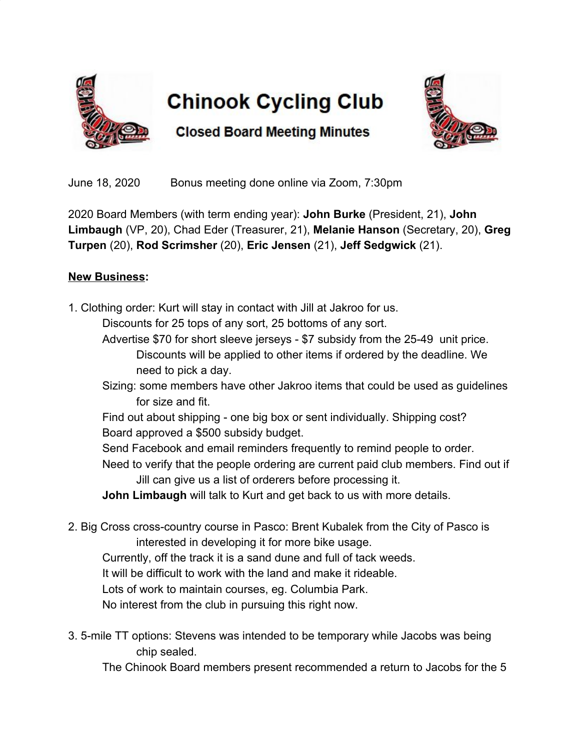

## **Chinook Cycling Club**



**Closed Board Meeting Minutes** 

June 18, 2020 Bonus meeting done online via Zoom, 7:30pm

2020 Board Members (with term ending year): **John Burke** (President, 21), **John Limbaugh** (VP, 20), Chad Eder (Treasurer, 21), **Melanie Hanson** (Secretary, 20), **Greg Turpen** (20), **Rod Scrimsher** (20), **Eric Jensen** (21), **Jeff Sedgwick** (21).

## **New Business:**

1. Clothing order: Kurt will stay in contact with Jill at Jakroo for us.

Discounts for 25 tops of any sort, 25 bottoms of any sort.

Advertise \$70 for short sleeve jerseys - \$7 subsidy from the 25-49 unit price. Discounts will be applied to other items if ordered by the deadline. We need to pick a day.

Sizing: some members have other Jakroo items that could be used as guidelines for size and fit.

Find out about shipping - one big box or sent individually. Shipping cost? Board approved a \$500 subsidy budget.

Send Facebook and email reminders frequently to remind people to order.

Need to verify that the people ordering are current paid club members. Find out if Jill can give us a list of orderers before processing it.

**John Limbaugh** will talk to Kurt and get back to us with more details.

2. Big Cross cross-country course in Pasco: Brent Kubalek from the City of Pasco is interested in developing it for more bike usage.

Currently, off the track it is a sand dune and full of tack weeds.

It will be difficult to work with the land and make it rideable.

Lots of work to maintain courses, eg. Columbia Park.

No interest from the club in pursuing this right now.

3. 5-mile TT options: Stevens was intended to be temporary while Jacobs was being chip sealed.

The Chinook Board members present recommended a return to Jacobs for the 5